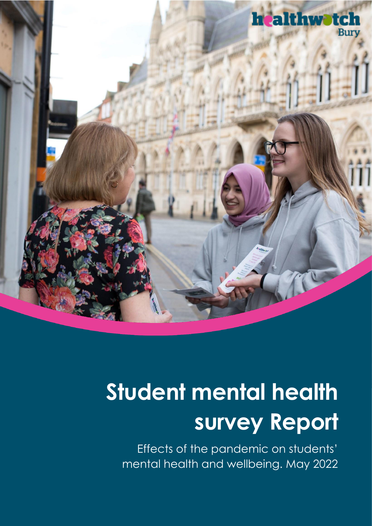

# **Student mental health survey Report**

Effects of the pandemic on students' mental health and wellbeing. May 2022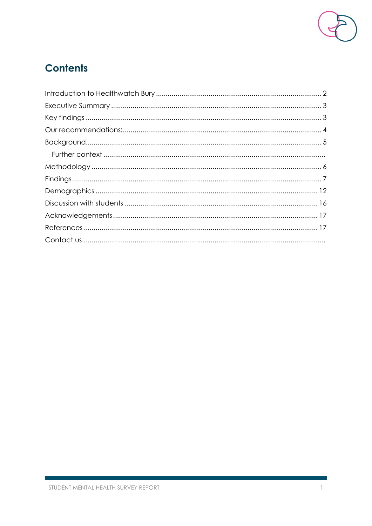

## **Contents**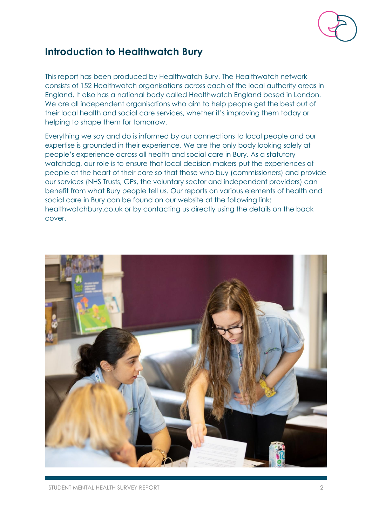

## <span id="page-2-0"></span>**Introduction to Healthwatch Bury**

This report has been produced by Healthwatch Bury. The Healthwatch network consists of 152 Healthwatch organisations across each of the local authority areas in England. It also has a national body called Healthwatch England based in London. We are all independent organisations who aim to help people get the best out of their local health and social care services, whether it's improving them today or helping to shape them for tomorrow.

Everything we say and do is informed by our connections to local people and our expertise is grounded in their experience. We are the only body looking solely at people's experience across all health and social care in Bury. As a statutory watchdog, our role is to ensure that local decision makers put the experiences of people at the heart of their care so that those who buy (commissioners) and provide our services (NHS Trusts, GPs, the voluntary sector and independent providers) can benefit from what Bury people tell us. Our reports on various elements of health and social care in Bury can be found on our website at the following link: healthwatchbury.co.uk or by contacting us directly using the details on the back cover.

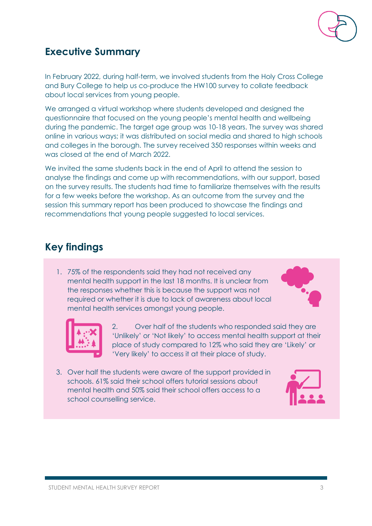

## <span id="page-3-0"></span>**Executive Summary**

In February 2022, during half-term, we involved students from the Holy Cross College and Bury College to help us co-produce the HW100 survey to collate feedback about local services from young people.

We arranged a virtual workshop where students developed and designed the questionnaire that focused on the young people's mental health and wellbeing during the pandemic. The target age group was 10-18 years. The survey was shared online in various ways; it was distributed on social media and shared to high schools and colleges in the borough. The survey received 350 responses within weeks and was closed at the end of March 2022.

We invited the same students back in the end of April to attend the session to analyse the findings and come up with recommendations, with our support, based on the survey results. The students had time to familiarize themselves with the results for a few weeks before the workshop. As an outcome from the survey and the session this summary report has been produced to showcase the findings and recommendations that young people suggested to local services.

## <span id="page-3-1"></span>**Key findings**

1. 75% of the respondents said they had not received any mental health support in the last 18 months. It is unclear from the responses whether this is because the support was not required or whether it is due to lack of awareness about local mental health services amongst young people.





2. Over half of the students who responded said they are 'Unlikely' or 'Not likely' to access mental health support at their place of study compared to 12% who said they are 'Likely' or 'Very likely' to access it at their place of study.

3. Over half the students were aware of the support provided in schools. 61% said their school offers tutorial sessions about mental health and 50% said their school offers access to a school counselling service.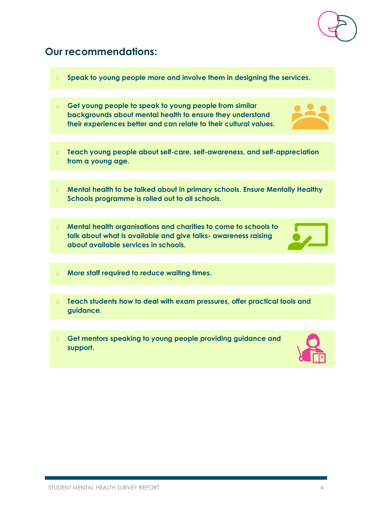## <span id="page-4-0"></span>**Our recommendations:**

- **Speak to young people more and involve them in designing the services.**
- **Get young people to speak to young people from similar backgrounds about mental health to ensure they understand their experiences better and can relate to their cultural values.**
- **Teach young people about self-care, self-awareness, and self-appreciation from a young age.**
- **Mental health to be talked about in primary schools. Ensure Mentally Healthy Schools programme is rolled out to all schools.**
- **Mental health organisations and charities to come to schools to talk about what is available and give talks- awareness raising about available services in schools.**
- **More staff required to reduce waiting times.**
- **Teach students how to deal with exam pressures, offer practical tools and guidance.**
- **Get mentors speaking to young people providing guidance and support.**







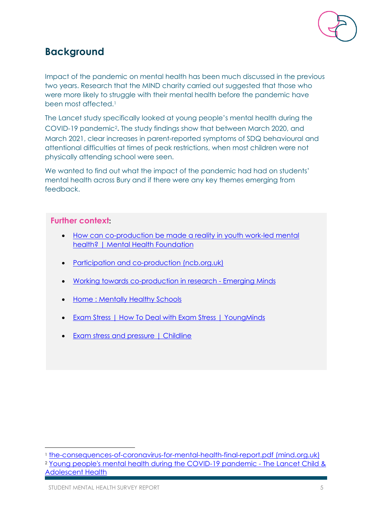

## <span id="page-5-0"></span>**Background**

Impact of the pandemic on mental health has been much discussed in the previous two years. Research that the MIND charity carried out suggested that those who were more likely to struggle with their mental health before the pandemic have been most affected.<sup>1</sup>

The Lancet study specifically looked at young people's mental health during the COVID-19 pandemic<sup>2</sup> . The study findings show that between March 2020, and March 2021, clear increases in parent-reported symptoms of SDQ behavioural and attentional difficulties at times of peak restrictions, when most children were not physically attending school were seen.

We wanted to find out what the impact of the pandemic had had on students' mental health across Bury and if there were any key themes emerging from feedback.

#### **Further context:**

- [How can co-production be made a reality in youth work-led mental](https://www.mentalhealth.org.uk/projects/right-here/how-can-co-production-be-made-reality-youth-work-led-mental-health)  [health? | Mental Health Foundation](https://www.mentalhealth.org.uk/projects/right-here/how-can-co-production-be-made-reality-youth-work-led-mental-health)
- [Participation and co-production \(ncb.org.uk\)](https://www.ncb.org.uk/what-we-do/improving-practice/wellbeing-mental-health/headstart/participation-and-co-production)
- [Working towards co-production in research -](https://emergingminds.org.uk/working-towards-co-production-in-research/) Emerging Minds
- [Home : Mentally Healthy Schools](https://www.mentallyhealthyschools.org.uk/?gclid=Cj0KCQjw1tGUBhDXARIsAIJx01lKRNav2hH_1B_NJOZkCZd5ro_vMDP3Q2_uNExg1s4JPjGMxGQJEIwaAiGCEALw_wcB)
- [Exam Stress | How To Deal with Exam Stress | YoungMinds](https://www.youngminds.org.uk/young-person/coping-with-life/exam-stress/)
- **[Exam stress and pressure | Childline](https://www.childline.org.uk/info-advice/school-college-and-work/school-college/exam-stress/)**

<sup>2</sup> [Young people's mental health during the COVID-19 pandemic -](https://www.thelancet.com/journals/lanchi/article/PIIS2352-4642(21)00177-2/fulltext) The Lancet Child & [Adolescent Health](https://www.thelancet.com/journals/lanchi/article/PIIS2352-4642(21)00177-2/fulltext)

<sup>1</sup> [the-consequences-of-coronavirus-for-mental-health-final-report.pdf \(mind.org.uk\)](https://www.mind.org.uk/media/8962/the-consequences-of-coronavirus-for-mental-health-final-report.pdf)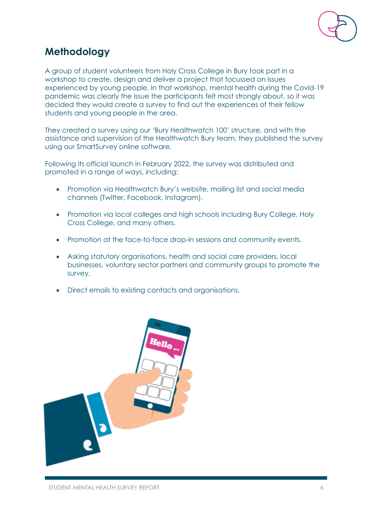

## <span id="page-6-0"></span>**Methodology**

A group of student volunteers from Holy Cross College in Bury took part in a workshop to create, design and deliver a project that focussed on issues experienced by young people. In that workshop, mental health during the Covid-19 pandemic was clearly the issue the participants felt most strongly about, so it was decided they would create a survey to find out the experiences of their fellow students and young people in the area.

They created a survey using our 'Bury Healthwatch 100' structure, and with the assistance and supervision of the Healthwatch Bury team, they published the survey using our SmartSurvey online software.

Following its official launch in February 2022, the survey was distributed and promoted in a range of ways, including:

- Promotion via Healthwatch Bury's website, mailing list and social media channels (Twitter, Facebook, Instagram).
- Promotion via local colleges and high schools including Bury College, Holy Cross College, and many others.
- Promotion at the face-to-face drop-in sessions and community events.
- Asking statutory organisations, health and social care providers, local businesses, voluntary sector partners and community groups to promote the survey.
- Direct emails to existing contacts and organisations.

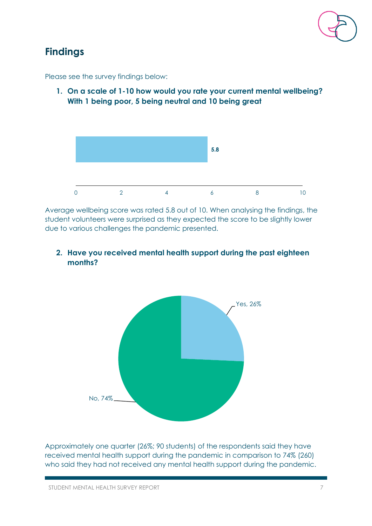

## <span id="page-7-0"></span>**Findings**

Please see the survey findings below:

**1. On a scale of 1-10 how would you rate your current mental wellbeing? With 1 being poor, 5 being neutral and 10 being great**



Average wellbeing score was rated 5.8 out of 10. When analysing the findings, the student volunteers were surprised as they expected the score to be slightly lower due to various challenges the pandemic presented.

**2. Have you received mental health support during the past eighteen months?**



Approximately one quarter (26%; 90 students) of the respondents said they have received mental health support during the pandemic in comparison to 74% (260) who said they had not received any mental health support during the pandemic.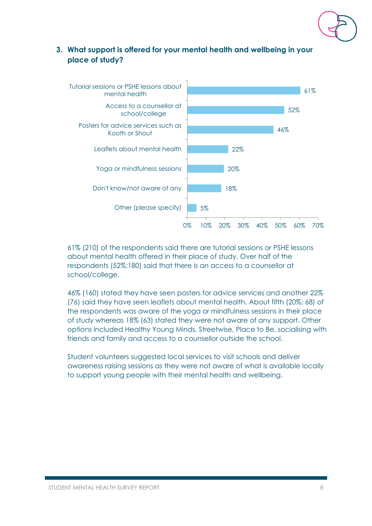

#### **3. What support is offered for your mental health and wellbeing in your place of study?**



61% (210) of the respondents said there are tutorial sessions or PSHE lessons about mental health offered in their place of study. Over half of the respondents (52%;180) said that there is an access to a counsellor at school/college.

46% (160) stated they have seen posters for advice services and another 22% (76) said they have seen leaflets about mental health. About fifth (20%; 68) of the respondents was aware of the yoga or mindfulness sessions in their place of study whereas 18% (63) stated they were not aware of any support. Other options included Healthy Young Minds, Streetwise, Place to Be, socialising with friends and family and access to a counsellor outside the school.

Student volunteers suggested local services to visit schools and deliver awareness raising sessions as they were not aware of what is available locally to support young people with their mental health and wellbeing.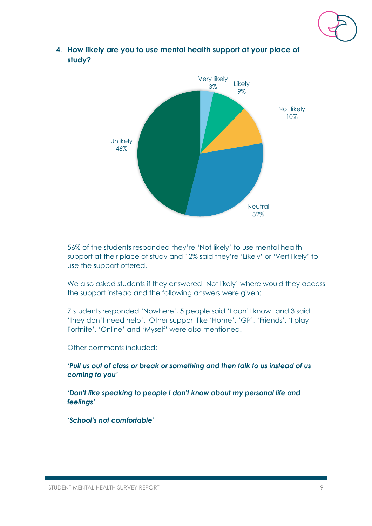



**4. How likely are you to use mental health support at your place of study?**

56% of the students responded they're 'Not likely' to use mental health support at their place of study and 12% said they're 'Likely' or 'Vert likely' to use the support offered.

We also asked students if they answered 'Not likely' where would they access the support instead and the following answers were given:

7 students responded 'Nowhere', 5 people said 'I don't know' and 3 said 'they don't need help'. Other support like 'Home', 'GP', 'Friends', 'I play Fortnite', 'Online' and 'Myself' were also mentioned.

Other comments included:

*'Pull us out of class or break or something and then talk to us instead of us coming to you'* 

*'Don't like speaking to people I don't know about my personal life and feelings'* 

*'School's not comfortable'*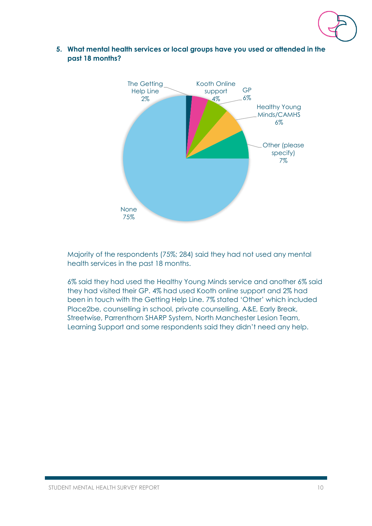

**5. What mental health services or local groups have you used or attended in the past 18 months?**



Majority of the respondents (75%; 284) said they had not used any mental health services in the past 18 months.

6% said they had used the Healthy Young Minds service and another 6% said they had visited their GP. 4% had used Kooth online support and 2% had been in touch with the Getting Help Line. 7% stated 'Other' which included Place2be, counselling in school, private counselling, A&E, Early Break, Streetwise, Parrenthorn SHARP System, North Manchester Lesion Team, Learning Support and some respondents said they didn't need any help.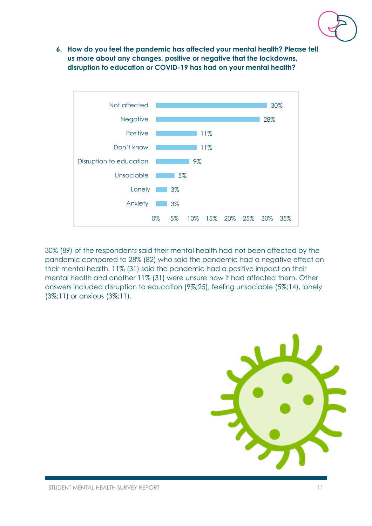

**6. How do you feel the pandemic has affected your mental health? Please tell us more about any changes, positive or negative that the lockdowns, disruption to education or COVID-19 has had on your mental health?**



30% (89) of the respondents said their mental health had not been affected by the pandemic compared to 28% (82) who said the pandemic had a negative effect on their mental health. 11% (31) said the pandemic had a positive impact on their mental health and another 11% (31) were unsure how it had affected them. Other answers included disruption to education (9%;25), feeling unsociable (5%;14), lonely (3%;11) or anxious (3%;11).

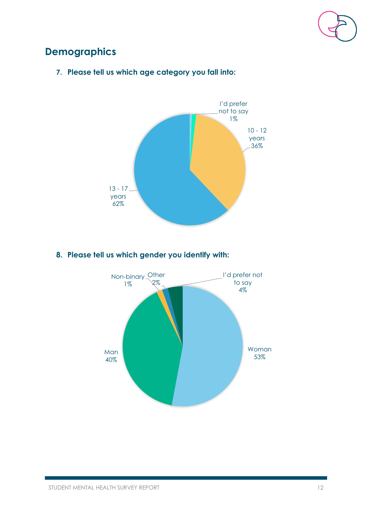

## <span id="page-12-0"></span>**Demographics**



**7. Please tell us which age category you fall into:**

#### **8. Please tell us which gender you identify with:**

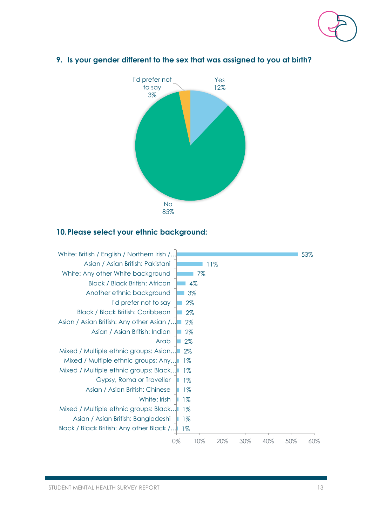



#### **9. Is your gender different to the sex that was assigned to you at birth?**

#### **10.Please select your ethnic background:**

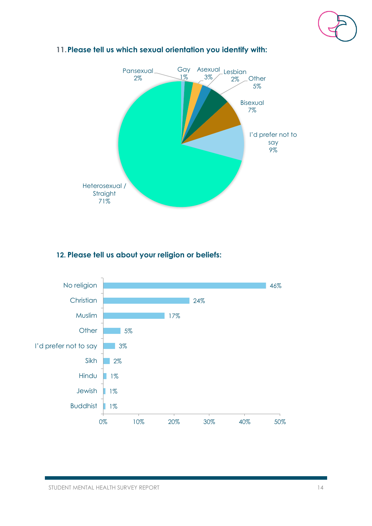



#### **11.Please tell us which sexual orientation you identify with:**

#### **12. Please tell us about your religion or beliefs:**

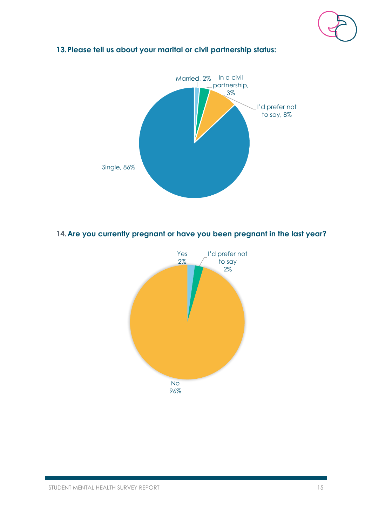

#### **13.Please tell us about your marital or civil partnership status:**



#### **14.Are you currently pregnant or have you been pregnant in the last year?**

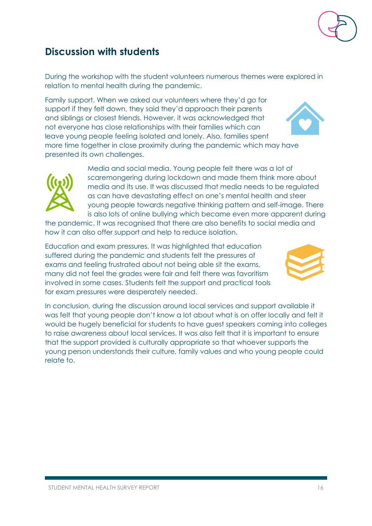## <span id="page-16-0"></span>**Discussion with students**

During the workshop with the student volunteers numerous themes were explored in relation to mental health during the pandemic.

Family support. When we asked our volunteers where they'd go for support if they felt down, they said they'd approach their parents and siblings or closest friends. However, it was acknowledged that not everyone has close relationships with their families which can leave young people feeling isolated and lonely. Also, families spent more time together in close proximity during the pandemic which may have presented its own challenges.

> Media and social media. Young people felt there was a lot of scaremongering during lockdown and made them think more about media and its use. It was discussed that media needs to be regulated as can have devastating effect on one's mental health and steer young people towards negative thinking pattern and self-image. There is also lots of online bullying which became even more apparent during

the pandemic. It was recognised that there are also benefits to social media and how it can also offer support and help to reduce isolation.

Education and exam pressures. It was highlighted that education suffered during the pandemic and students felt the pressures of exams and feeling frustrated about not being able sit the exams, many did not feel the grades were fair and felt there was favoritism involved in some cases. Students felt the support and practical tools for exam pressures were desperately needed.

In conclusion, during the discussion around local services and support available it was felt that young people don't know a lot about what is on offer locally and felt it would be hugely beneficial for students to have guest speakers coming into colleges to raise awareness about local services. It was also felt that it is important to ensure that the support provided is culturally appropriate so that whoever supports the young person understands their culture, family values and who young people could relate to.





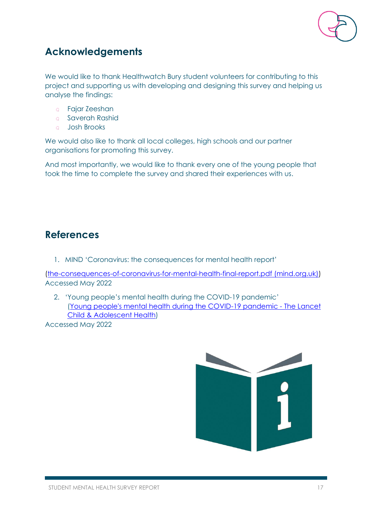

## <span id="page-17-0"></span>**Acknowledgements**

We would like to thank Healthwatch Bury student volunteers for contributing to this project and supporting us with developing and designing this survey and helping us analyse the findings:

- Fajar Zeeshan  $Q$
- saverah Rashid
- Josh Brooks  $Q$

We would also like to thank all local colleges, high schools and our partner organisations for promoting this survey.

And most importantly, we would like to thank every one of the young people that took the time to complete the survey and shared their experiences with us.

### <span id="page-17-1"></span>**References**

1. MIND 'Coronavirus: the consequences for mental health report'

[\(the-consequences-of-coronavirus-for-mental-health-final-report.pdf \(mind.org.uk\)\)](https://www.mind.org.uk/media/8962/the-consequences-of-coronavirus-for-mental-health-final-report.pdf) Accessed May 2022

2. 'Young people's mental health during the COVID-19 pandemic' [\(Young people's mental health during the COVID-19 pandemic -](https://www.thelancet.com/journals/lanchi/article/PIIS2352-4642(21)00177-2/fulltext) The Lancet [Child & Adolescent Health\)](https://www.thelancet.com/journals/lanchi/article/PIIS2352-4642(21)00177-2/fulltext)

Accessed May 2022